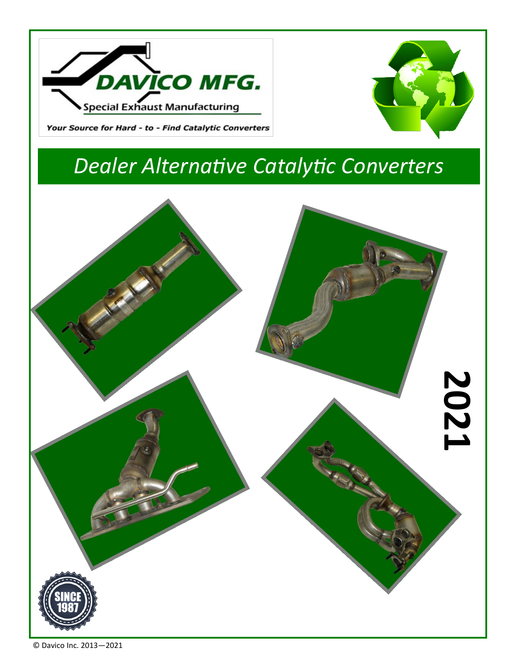



#### Your Source for Hard - to - Find Catalytic Converters

# *Dealer Alternative Catalytic Converters*

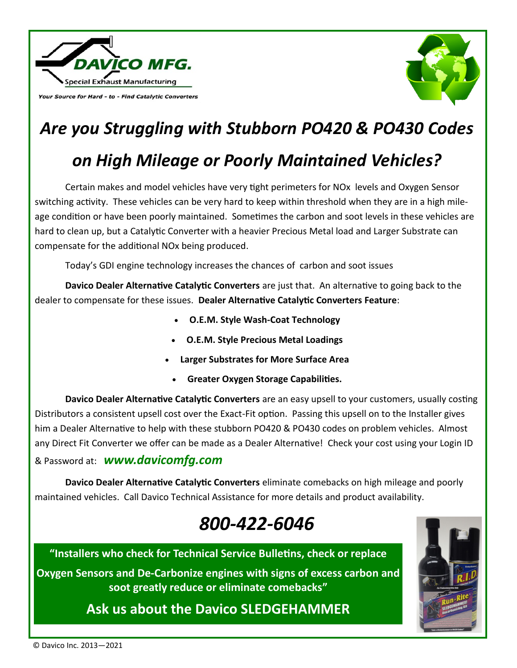

Your Source for Hard - to - Find Catalytic Converters



# *Are you Struggling with Stubborn PO420 & PO430 Codes on High Mileage or Poorly Maintained Vehicles?*

Certain makes and model vehicles have very tight perimeters for NOx levels and Oxygen Sensor switching activity. These vehicles can be very hard to keep within threshold when they are in a high mileage condition or have been poorly maintained. Sometimes the carbon and soot levels in these vehicles are hard to clean up, but a Catalytic Converter with a heavier Precious Metal load and Larger Substrate can compensate for the additional NOx being produced.

Today's GDI engine technology increases the chances of carbon and soot issues

**Davico Dealer Alternative Catalytic Converters** are just that. An alternative to going back to the dealer to compensate for these issues. **Dealer Alternative Catalytic Converters Feature**:

- **O.E.M. Style Wash-Coat Technology**
- **O.E.M. Style Precious Metal Loadings**
- **Larger Substrates for More Surface Area**
	- **Greater Oxygen Storage Capabilities.**

**Davico Dealer Alternative Catalytic Converters** are an easy upsell to your customers, usually costing Distributors a consistent upsell cost over the Exact-Fit option. Passing this upsell on to the Installer gives him a Dealer Alternative to help with these stubborn PO420 & PO430 codes on problem vehicles. Almost any Direct Fit Converter we offer can be made as a Dealer Alternative! Check your cost using your Login ID

& Password at: *www.davicomfg.com*

**Davico Dealer Alternative Catalytic Converters** eliminate comebacks on high mileage and poorly maintained vehicles. Call Davico Technical Assistance for more details and product availability.

## *800-422-6046*



**"Installers who check for Technical Service Bulletins, check or replace** 

**Oxygen Sensors and De-Carbonize engines with signs of excess carbon and soot greatly reduce or eliminate comebacks"**

### **Ask us about the Davico SLEDGEHAMMER**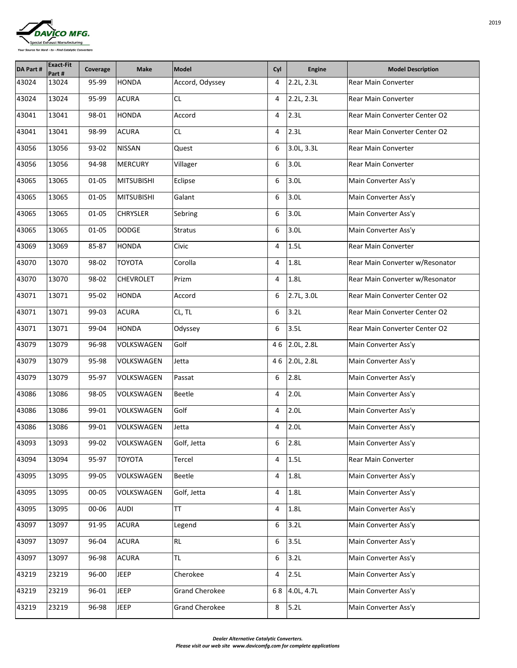| <b>DAVICO MFG.</b>                                    |
|-------------------------------------------------------|
| Special Exhaust Manufacturing                         |
| Your Source for Hard - to - Find Catalytic Converters |

| <b>DA Part #</b> | <b>Exact-Fit</b><br>Part # | Coverage  | <b>Make</b>       | Model                 | Cyl            | <b>Engine</b>    | <b>Model Description</b>             |
|------------------|----------------------------|-----------|-------------------|-----------------------|----------------|------------------|--------------------------------------|
| 43024            | 13024                      | 95-99     | <b>HONDA</b>      | Accord, Odyssey       | 4              | 2.2L, 2.3L       | <b>Rear Main Converter</b>           |
| 43024            | 13024                      | 95-99     | <b>ACURA</b>      | CL                    | 4              | 2.2L, 2.3L       | <b>Rear Main Converter</b>           |
| 43041            | 13041                      | 98-01     | <b>HONDA</b>      | Accord                | 4              | 2.3L             | <b>Rear Main Converter Center O2</b> |
| 43041            | 13041                      | 98-99     | <b>ACURA</b>      | CL                    | 4              | 2.3L             | <b>Rear Main Converter Center O2</b> |
| 43056            | 13056                      | 93-02     | <b>NISSAN</b>     | Quest                 | 6              | 3.0L, 3.3L       | <b>Rear Main Converter</b>           |
| 43056            | 13056                      | 94-98     | <b>MERCURY</b>    | Villager              | 6              | 3.0 <sub>L</sub> | <b>Rear Main Converter</b>           |
| 43065            | 13065                      | $01 - 05$ | <b>MITSUBISHI</b> | Eclipse               | 6              | 3.0 <sub>L</sub> | Main Converter Ass'y                 |
| 43065            | 13065                      | $01 - 05$ | <b>MITSUBISHI</b> | Galant                | 6              | 3.0 <sub>L</sub> | Main Converter Ass'y                 |
| 43065            | 13065                      | $01 - 05$ | <b>CHRYSLER</b>   | Sebring               | 6              | 3.0 <sub>L</sub> | Main Converter Ass'y                 |
| 43065            | 13065                      | 01-05     | <b>DODGE</b>      | <b>Stratus</b>        | 6              | 3.0 <sub>L</sub> | Main Converter Ass'y                 |
| 43069            | 13069                      | 85-87     | <b>HONDA</b>      | Civic                 | 4              | 1.5L             | <b>Rear Main Converter</b>           |
| 43070            | 13070                      | 98-02     | <b>TOYOTA</b>     | Corolla               | 4              | 1.8L             | Rear Main Converter w/Resonator      |
| 43070            | 13070                      | 98-02     | <b>CHEVROLET</b>  | Prizm                 | 4              | 1.8L             | Rear Main Converter w/Resonator      |
| 43071            | 13071                      | 95-02     | <b>HONDA</b>      | Accord                | 6              | 2.7L, 3.0L       | Rear Main Converter Center O2        |
| 43071            | 13071                      | 99-03     | <b>ACURA</b>      | CL, TL                | 6              | 3.2L             | Rear Main Converter Center O2        |
| 43071            | 13071                      | 99-04     | <b>HONDA</b>      | Odyssey               | 6              | 3.5L             | <b>Rear Main Converter Center O2</b> |
| 43079            | 13079                      | 96-98     | <b>VOLKSWAGEN</b> | Golf                  | 46             | 2.0L, 2.8L       | Main Converter Ass'y                 |
| 43079            | 13079                      | 95-98     | <b>VOLKSWAGEN</b> | Jetta                 | 46             | 2.0L, 2.8L       | Main Converter Ass'y                 |
| 43079            | 13079                      | 95-97     | VOLKSWAGEN        | Passat                | 6              | 2.8L             | Main Converter Ass'y                 |
| 43086            | 13086                      | 98-05     | <b>VOLKSWAGEN</b> | <b>Beetle</b>         | 4              | 2.0 <sub>L</sub> | Main Converter Ass'y                 |
| 43086            | 13086                      | 99-01     | VOLKSWAGEN        | Golf                  | $\overline{4}$ | 2.0 <sub>L</sub> | Main Converter Ass'y                 |
| 43086            | 13086                      | 99-01     | <b>VOLKSWAGEN</b> | Jetta                 | 4              | 2.0 <sub>L</sub> | Main Converter Ass'y                 |
| 43093            | 13093                      | 99-02     | VOLKSWAGEN        | Golf, Jetta           | 6              | 2.8L             | Main Converter Ass'y                 |
| 43094            | 13094                      | 95-97     | <b>TOYOTA</b>     | Tercel                | 4              | 1.5L             | <b>Rear Main Converter</b>           |
| 43095            | 13095                      | 99-05     | VOLKSWAGEN        | <b>Beetle</b>         | 4              | 1.8L             | Main Converter Ass'y                 |
| 43095            | 13095                      | 00-05     | <b>VOLKSWAGEN</b> | Golf, Jetta           | $\overline{4}$ | 1.8L             | Main Converter Ass'y                 |
| 43095            | 13095                      | 00-06     | <b>AUDI</b>       | <b>TT</b>             | 4              | 1.8L             | Main Converter Ass'y                 |
| 43097            | 13097                      | 91-95     | <b>ACURA</b>      | Legend                | 6              | 3.2L             | Main Converter Ass'y                 |
| 43097            | 13097                      | 96-04     | <b>ACURA</b>      | <b>RL</b>             | 6              | 3.5L             | Main Converter Ass'y                 |
| 43097            | 13097                      | 96-98     | <b>ACURA</b>      | <b>TL</b>             | 6              | 3.2L             | Main Converter Ass'y                 |
| 43219            | 23219                      | 96-00     | <b>JEEP</b>       | Cherokee              | 4              | 2.5L             | Main Converter Ass'y                 |
| 43219            | 23219                      | 96-01     | <b>JEEP</b>       | <b>Grand Cherokee</b> | 68             | 4.0L, 4.7L       | Main Converter Ass'y                 |
| 43219            | 23219                      | 96-98     | <b>JEEP</b>       | <b>Grand Cherokee</b> | 8              | 5.2L             | Main Converter Ass'y                 |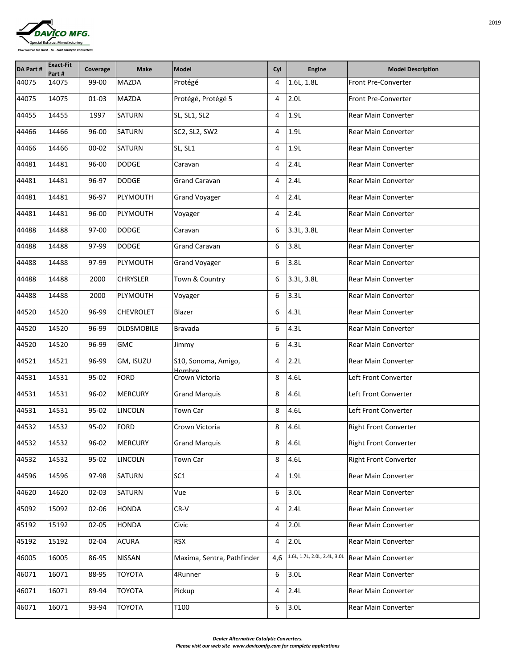

| <b>DA Part #</b> | <b>Exact-Fit</b><br>Part# | Coverage  | <b>Make</b>       | Model                         | Cyl | <b>Engine</b>                | <b>Model Description</b>     |
|------------------|---------------------------|-----------|-------------------|-------------------------------|-----|------------------------------|------------------------------|
| 44075            | 14075                     | 99-00     | <b>MAZDA</b>      | Protégé                       | 4   | 1.6L, 1.8L                   | <b>Front Pre-Converter</b>   |
| 44075            | 14075                     | $01 - 03$ | <b>MAZDA</b>      | Protégé, Protégé 5            | 4   | 2.0 <sub>L</sub>             | <b>Front Pre-Converter</b>   |
| 44455            | 14455                     | 1997      | <b>SATURN</b>     | SL, SL1, SL2                  | 4   | 1.9L                         | <b>Rear Main Converter</b>   |
| 44466            | 14466                     | 96-00     | <b>SATURN</b>     | SC2, SL2, SW2                 | 4   | 1.9L                         | <b>Rear Main Converter</b>   |
| 44466            | 14466                     | $00 - 02$ | <b>SATURN</b>     | SL, SL1                       | 4   | 1.9L                         | <b>Rear Main Converter</b>   |
| 44481            | 14481                     | 96-00     | <b>DODGE</b>      | Caravan                       | 4   | 2.4L                         | <b>Rear Main Converter</b>   |
| 44481            | 14481                     | 96-97     | <b>DODGE</b>      | <b>Grand Caravan</b>          | 4   | 2.4L                         | <b>Rear Main Converter</b>   |
| 44481            | 14481                     | 96-97     | PLYMOUTH          | <b>Grand Voyager</b>          | 4   | 2.4L                         | <b>Rear Main Converter</b>   |
| 44481            | 14481                     | 96-00     | PLYMOUTH          | Voyager                       | 4   | 2.4L                         | <b>Rear Main Converter</b>   |
| 44488            | 14488                     | 97-00     | <b>DODGE</b>      | Caravan                       | 6   | 3.3L, 3.8L                   | <b>Rear Main Converter</b>   |
| 44488            | 14488                     | 97-99     | <b>DODGE</b>      | <b>Grand Caravan</b>          | 6   | 3.8L                         | <b>Rear Main Converter</b>   |
| 44488            | 14488                     | 97-99     | PLYMOUTH          | <b>Grand Voyager</b>          | 6   | 3.8L                         | <b>Rear Main Converter</b>   |
| 44488            | 14488                     | 2000      | <b>CHRYSLER</b>   | Town & Country                | 6   | 3.3L, 3.8L                   | <b>Rear Main Converter</b>   |
| 44488            | 14488                     | 2000      | PLYMOUTH          | Voyager                       | 6   | 3.3L                         | <b>Rear Main Converter</b>   |
| 44520            | 14520                     | 96-99     | <b>CHEVROLET</b>  | Blazer                        | 6   | 4.3L                         | <b>Rear Main Converter</b>   |
| 44520            | 14520                     | 96-99     | <b>OLDSMOBILE</b> | Bravada                       | 6   | 4.3L                         | <b>Rear Main Converter</b>   |
| 44520            | 14520                     | 96-99     | <b>GMC</b>        | Jimmy                         | 6   | 4.3L                         | <b>Rear Main Converter</b>   |
| 44521            | 14521                     | 96-99     | GM, ISUZU         | S10, Sonoma, Amigo,<br>Hombre | 4   | 2.2L                         | <b>Rear Main Converter</b>   |
| 44531            | 14531                     | 95-02     | <b>FORD</b>       | Crown Victoria                | 8   | 4.6L                         | Left Front Converter         |
| 44531            | 14531                     | 96-02     | <b>MERCURY</b>    | <b>Grand Marquis</b>          | 8   | 4.6L                         | Left Front Converter         |
| 44531            | 14531                     | 95-02     | <b>LINCOLN</b>    | Town Car                      | 8   | 4.6L                         | Left Front Converter         |
| 44532            | 14532                     | 95-02     | <b>FORD</b>       | Crown Victoria                | 8   | 4.6L                         | <b>Right Front Converter</b> |
| 44532            | 14532                     | 96-02     | MERCURY           | <b>Grand Marquis</b>          | 8   | 4.6L                         | <b>Right Front Converter</b> |
| 44532            | 14532                     | 95-02     | <b>LINCOLN</b>    | <b>Town Car</b>               | 8   | 4.6L                         | <b>Right Front Converter</b> |
| 44596            | 14596                     | 97-98     | <b>SATURN</b>     | SC <sub>1</sub>               | 4   | 1.9L                         | <b>Rear Main Converter</b>   |
| 44620            | 14620                     | $02 - 03$ | <b>SATURN</b>     | Vue                           | 6   | 3.0L                         | <b>Rear Main Converter</b>   |
| 45092            | 15092                     | 02-06     | <b>HONDA</b>      | $CR-V$                        | 4   | 2.4L                         | <b>Rear Main Converter</b>   |
| 45192            | 15192                     | $02 - 05$ | <b>HONDA</b>      | Civic                         | 4   | 2.0 <sub>L</sub>             | <b>Rear Main Converter</b>   |
| 45192            | 15192                     | 02-04     | <b>ACURA</b>      | <b>RSX</b>                    | 4   | 2.0 <sub>L</sub>             | <b>Rear Main Converter</b>   |
| 46005            | 16005                     | 86-95     | <b>NISSAN</b>     | Maxima, Sentra, Pathfinder    | 4,6 | 1.6L, 1.7L, 2.0L, 2.4L, 3.0L | <b>Rear Main Converter</b>   |
| 46071            | 16071                     | 88-95     | <b>TOYOTA</b>     | 4Runner                       | 6   | 3.0 <sub>L</sub>             | <b>Rear Main Converter</b>   |
| 46071            | 16071                     | 89-94     | <b>TOYOTA</b>     | Pickup                        | 4   | 2.4L                         | <b>Rear Main Converter</b>   |
| 46071            | 16071                     | 93-94     | <b>TOYOTA</b>     | T100                          | 6   | 3.0 <sub>L</sub>             | <b>Rear Main Converter</b>   |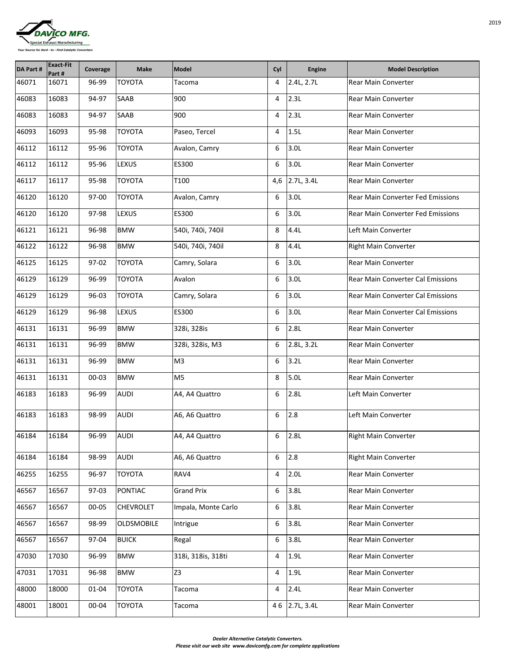| <b>DAVICO MFG.</b>                                    |
|-------------------------------------------------------|
|                                                       |
| Special Exhaust Manufacturing                         |
| Your Source for Hard - to - Find Catalytic Converters |

| <b>DA Part#</b> | <b>Exact-Fit</b><br>Part # | Coverage  | <b>Make</b>       | <b>Model</b>        | Cyl             | <b>Engine</b>    | <b>Model Description</b>                 |
|-----------------|----------------------------|-----------|-------------------|---------------------|-----------------|------------------|------------------------------------------|
| 46071           | 16071                      | 96-99     | <b>TOYOTA</b>     | Tacoma              | 4               | 2.4L, 2.7L       | <b>Rear Main Converter</b>               |
| 46083           | 16083                      | 94-97     | <b>SAAB</b>       | 900                 | 4               | 2.3L             | <b>Rear Main Converter</b>               |
| 46083           | 16083                      | 94-97     | <b>SAAB</b>       | 900                 | 4               | 2.3L             | <b>Rear Main Converter</b>               |
| 46093           | 16093                      | 95-98     | <b>TOYOTA</b>     | Paseo, Tercel       | 4               | 1.5L             | <b>Rear Main Converter</b>               |
| 46112           | 16112                      | 95-96     | <b>TOYOTA</b>     | Avalon, Camry       | 6               | 3.0 <sub>L</sub> | <b>Rear Main Converter</b>               |
| 46112           | 16112                      | 95-96     | <b>LEXUS</b>      | ES300               | 6               | 3.0L             | <b>Rear Main Converter</b>               |
| 46117           | 16117                      | 95-98     | <b>TOYOTA</b>     | T100                | 4,6             | 2.7L, 3.4L       | <b>Rear Main Converter</b>               |
| 46120           | 16120                      | 97-00     | <b>TOYOTA</b>     | Avalon, Camry       | 6               | 3.0 <sub>L</sub> | <b>Rear Main Converter Fed Emissions</b> |
| 46120           | 16120                      | 97-98     | <b>LEXUS</b>      | <b>ES300</b>        | 6               | 3.0 <sub>L</sub> | <b>Rear Main Converter Fed Emissions</b> |
| 46121           | 16121                      | 96-98     | <b>BMW</b>        | 540i, 740i, 740il   | 8               | 4.4L             | Left Main Converter                      |
| 46122           | 16122                      | 96-98     | <b>BMW</b>        | 540i, 740i, 740il   | 8               | 4.4L             | Right Main Converter                     |
| 46125           | 16125                      | $97 - 02$ | <b>TOYOTA</b>     | Camry, Solara       | $6\phantom{1}6$ | 3.0L             | <b>Rear Main Converter</b>               |
| 46129           | 16129                      | 96-99     | <b>TOYOTA</b>     | Avalon              | 6               | 3.0 <sub>L</sub> | Rear Main Converter Cal Emissions        |
| 46129           | 16129                      | 96-03     | <b>TOYOTA</b>     | Camry, Solara       | $6\phantom{1}6$ | 3.0L             | <b>Rear Main Converter Cal Emissions</b> |
| 46129           | 16129                      | 96-98     | <b>LEXUS</b>      | <b>ES300</b>        | 6               | 3.0 <sub>L</sub> | <b>Rear Main Converter Cal Emissions</b> |
| 46131           | 16131                      | 96-99     | <b>BMW</b>        | 328i, 328is         | 6               | 2.8L             | <b>Rear Main Converter</b>               |
| 46131           | 16131                      | 96-99     | <b>BMW</b>        | 328i, 328is, M3     | 6               | 2.8L, 3.2L       | <b>Rear Main Converter</b>               |
| 46131           | 16131                      | 96-99     | <b>BMW</b>        | M <sub>3</sub>      | 6               | 3.2L             | <b>Rear Main Converter</b>               |
| 46131           | 16131                      | $00 - 03$ | <b>BMW</b>        | M <sub>5</sub>      | 8               | 5.0 <sub>L</sub> | <b>Rear Main Converter</b>               |
| 46183           | 16183                      | 96-99     | <b>AUDI</b>       | A4, A4 Quattro      | 6               | 2.8L             | Left Main Converter                      |
| 46183           | 16183                      | 98-99     | <b>AUDI</b>       | A6, A6 Quattro      | 6               | 2.8              | Left Main Converter                      |
| 46184           | 16184                      | 96-99     | <b>AUDI</b>       | A4, A4 Quattro      | 6               | 2.8L             | <b>Right Main Converter</b>              |
| 46184           | 16184                      | 98-99     | <b>AUDI</b>       | A6, A6 Quattro      | 6               | 2.8              | <b>Right Main Converter</b>              |
| 46255           | 16255                      | 96-97     | <b>TOYOTA</b>     | RAV4                | 4               | 2.0 <sub>L</sub> | <b>Rear Main Converter</b>               |
| 46567           | 16567                      | $97-03$   | <b>PONTIAC</b>    | <b>Grand Prix</b>   | 6               | 3.8L             | <b>Rear Main Converter</b>               |
| 46567           | 16567                      | 00-05     | <b>CHEVROLET</b>  | Impala, Monte Carlo | 6               | 3.8L             | <b>Rear Main Converter</b>               |
| 46567           | 16567                      | 98-99     | <b>OLDSMOBILE</b> | Intrigue            | 6               | 3.8L             | <b>Rear Main Converter</b>               |
| 46567           | 16567                      | 97-04     | <b>BUICK</b>      | Regal               | 6               | 3.8L             | <b>Rear Main Converter</b>               |
| 47030           | 17030                      | 96-99     | <b>BMW</b>        | 318i, 318is, 318ti  | 4               | 1.9L             | <b>Rear Main Converter</b>               |
| 47031           | 17031                      | 96-98     | <b>BMW</b>        | Z <sub>3</sub>      | 4               | 1.9L             | <b>Rear Main Converter</b>               |
| 48000           | 18000                      | $01 - 04$ | <b>TOYOTA</b>     | Tacoma              | 4               | 2.4L             | <b>Rear Main Converter</b>               |
| 48001           | 18001                      | 00-04     | <b>TOYOTA</b>     | <b>Tacoma</b>       | 46              | 2.7L, 3.4L       | <b>Rear Main Converter</b>               |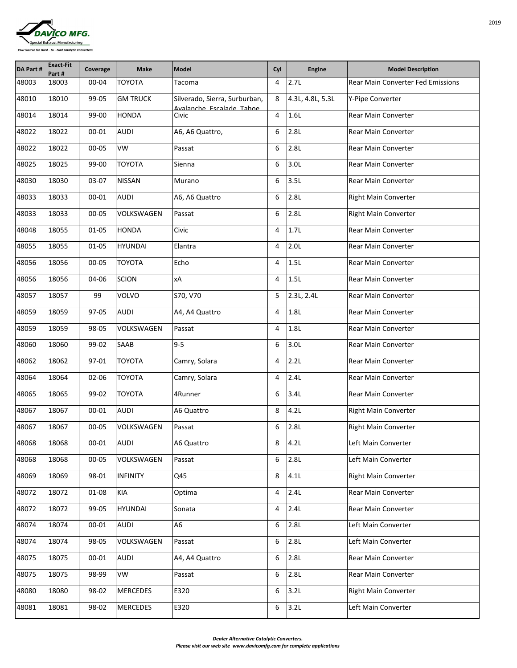

| DA Part # | <b>Exact-Fit</b><br>Part # | Coverage  | <b>Make</b>       | <b>Model</b>                                              | Cyl            | <b>Engine</b>    | <b>Model Description</b>                 |
|-----------|----------------------------|-----------|-------------------|-----------------------------------------------------------|----------------|------------------|------------------------------------------|
| 48003     | 18003                      | 00-04     | <b>TOYOTA</b>     | Tacoma                                                    | 4              | 2.7L             | <b>Rear Main Converter Fed Emissions</b> |
| 48010     | 18010                      | 99-05     | <b>GM TRUCK</b>   | Silverado, Sierra, Surburban,<br>Avalanche Escalade Tahoe | 8              | 4.3L, 4.8L, 5.3L | Y-Pipe Converter                         |
| 48014     | 18014                      | 99-00     | <b>HONDA</b>      | Civic                                                     | 4              | 1.6L             | <b>Rear Main Converter</b>               |
| 48022     | 18022                      | 00-01     | <b>AUDI</b>       | A6, A6 Quattro,                                           | 6              | 2.8L             | <b>Rear Main Converter</b>               |
| 48022     | 18022                      | 00-05     | <b>VW</b>         | Passat                                                    | 6              | 2.8L             | <b>Rear Main Converter</b>               |
| 48025     | 18025                      | 99-00     | <b>TOYOTA</b>     | Sienna                                                    | 6              | 3.0 <sub>L</sub> | <b>Rear Main Converter</b>               |
| 48030     | 18030                      | 03-07     | <b>NISSAN</b>     | Murano                                                    | 6              | 3.5L             | <b>Rear Main Converter</b>               |
| 48033     | 18033                      | 00-01     | <b>AUDI</b>       | A6, A6 Quattro                                            | 6              | 2.8L             | <b>Right Main Converter</b>              |
| 48033     | 18033                      | 00-05     | <b>VOLKSWAGEN</b> | Passat                                                    | 6              | 2.8L             | <b>Right Main Converter</b>              |
| 48048     | 18055                      | $01 - 05$ | <b>HONDA</b>      | Civic                                                     | 4              | 1.7L             | <b>Rear Main Converter</b>               |
| 48055     | 18055                      | $01 - 05$ | <b>HYUNDAI</b>    | Elantra                                                   | 4              | 2.0L             | <b>Rear Main Converter</b>               |
| 48056     | 18056                      | 00-05     | <b>TOYOTA</b>     | Echo                                                      | 4              | 1.5L             | <b>Rear Main Converter</b>               |
| 48056     | 18056                      | 04-06     | <b>SCION</b>      | xA                                                        | 4              | 1.5L             | <b>Rear Main Converter</b>               |
| 48057     | 18057                      | 99        | <b>VOLVO</b>      | S70, V70                                                  | 5              | 2.3L, 2.4L       | <b>Rear Main Converter</b>               |
| 48059     | 18059                      | 97-05     | <b>AUDI</b>       | A4, A4 Quattro                                            | 4              | 1.8L             | <b>Rear Main Converter</b>               |
| 48059     | 18059                      | 98-05     | <b>VOLKSWAGEN</b> | Passat                                                    | $\overline{4}$ | 1.8L             | <b>Rear Main Converter</b>               |
| 48060     | 18060                      | 99-02     | SAAB              | $9-5$                                                     | 6              | 3.0 <sub>L</sub> | <b>Rear Main Converter</b>               |
| 48062     | 18062                      | 97-01     | <b>TOYOTA</b>     | Camry, Solara                                             | 4              | 2.2L             | <b>Rear Main Converter</b>               |
| 48064     | 18064                      | 02-06     | <b>TOYOTA</b>     | Camry, Solara                                             | 4              | 2.4L             | <b>Rear Main Converter</b>               |
| 48065     | 18065                      | 99-02     | <b>TOYOTA</b>     | 4Runner                                                   | 6              | 3.4L             | <b>Rear Main Converter</b>               |
| 48067     | 18067                      | 00-01     | <b>AUDI</b>       | A6 Quattro                                                | 8              | 4.2L             | <b>Right Main Converter</b>              |
| 48067     | 18067                      | 00-05     | <b>VOLKSWAGEN</b> | Passat                                                    | 6              | 2.8L             | <b>Right Main Converter</b>              |
| 48068     | 18068                      | 00-01     | <b>AUDI</b>       | A6 Quattro                                                | 8              | 4.2L             | Left Main Converter                      |
| 48068     | 18068                      | 00-05     | <b>VOLKSWAGEN</b> | Passat                                                    | 6              | 2.8L             | Left Main Converter                      |
| 48069     | 18069                      | 98-01     | <b>INFINITY</b>   | Q45                                                       | 8              | 4.1L             | <b>Right Main Converter</b>              |
| 48072     | 18072                      | 01-08     | <b>KIA</b>        | Optima                                                    | 4              | 2.4L             | <b>Rear Main Converter</b>               |
| 48072     | 18072                      | 99-05     | <b>HYUNDAI</b>    | Sonata                                                    | 4              | 2.4L             | <b>Rear Main Converter</b>               |
| 48074     | 18074                      | $00 - 01$ | <b>AUDI</b>       | A6                                                        | 6              | 2.8L             | Left Main Converter                      |
| 48074     | 18074                      | 98-05     | VOLKSWAGEN        | Passat                                                    | 6              | 2.8L             | Left Main Converter                      |
| 48075     | 18075                      | 00-01     | <b>AUDI</b>       | A4, A4 Quattro                                            | 6              | 2.8L             | <b>Rear Main Converter</b>               |
| 48075     | 18075                      | 98-99     | <b>VW</b>         | Passat                                                    | 6              | 2.8L             | <b>Rear Main Converter</b>               |
| 48080     | 18080                      | 98-02     | <b>MERCEDES</b>   | E320                                                      | 6              | 3.2L             | <b>Right Main Converter</b>              |
| 48081     | 18081                      | 98-02     | <b>MERCEDES</b>   | E320                                                      | 6              | 3.2L             | Left Main Converter                      |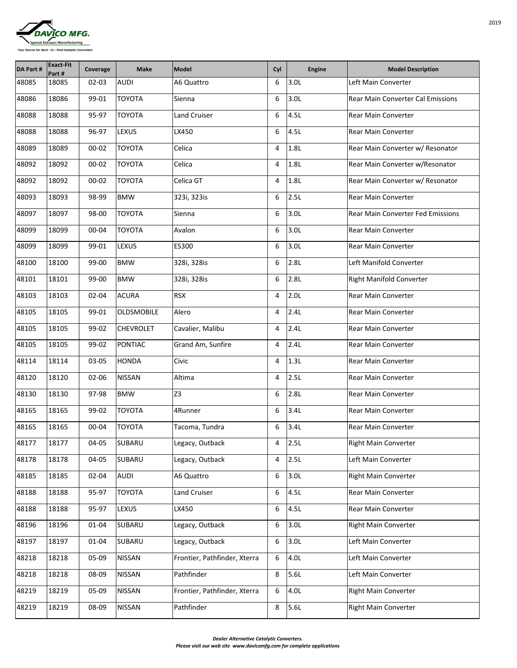

| <b>DA Part#</b> | <b>Exact-Fit</b><br>Part # | Coverage  | <b>Make</b>       | Model                        | Cyl | <b>Engine</b>    | <b>Model Description</b>                 |
|-----------------|----------------------------|-----------|-------------------|------------------------------|-----|------------------|------------------------------------------|
| 48085           | 18085                      | 02-03     | <b>AUDI</b>       | A6 Quattro                   | 6   | 3.0 <sub>L</sub> | Left Main Converter                      |
| 48086           | 18086                      | 99-01     | <b>TOYOTA</b>     | Sienna                       | 6   | 3.0 <sub>L</sub> | <b>Rear Main Converter Cal Emissions</b> |
| 48088           | 18088                      | 95-97     | <b>TOYOTA</b>     | <b>Land Cruiser</b>          | 6   | 4.5L             | <b>Rear Main Converter</b>               |
| 48088           | 18088                      | 96-97     | <b>LEXUS</b>      | LX450                        | 6   | 4.5L             | <b>Rear Main Converter</b>               |
| 48089           | 18089                      | $00 - 02$ | <b>TOYOTA</b>     | Celica                       | 4   | 1.8L             | Rear Main Converter w/ Resonator         |
| 48092           | 18092                      | 00-02     | <b>TOYOTA</b>     | Celica                       | 4   | 1.8L             | Rear Main Converter w/Resonator          |
| 48092           | 18092                      | $00 - 02$ | <b>TOYOTA</b>     | Celica GT                    | 4   | 1.8L             | Rear Main Converter w/ Resonator         |
| 48093           | 18093                      | 98-99     | <b>BMW</b>        | 323i, 323is                  | 6   | 2.5L             | <b>Rear Main Converter</b>               |
| 48097           | 18097                      | 98-00     | <b>TOYOTA</b>     | Sienna                       | 6   | 3.0 <sub>L</sub> | <b>Rear Main Converter Fed Emissions</b> |
| 48099           | 18099                      | 00-04     | <b>TOYOTA</b>     | Avalon                       | 6   | 3.0 <sub>L</sub> | <b>Rear Main Converter</b>               |
| 48099           | 18099                      | 99-01     | <b>LEXUS</b>      | <b>ES300</b>                 | 6   | 3.0 <sub>L</sub> | <b>Rear Main Converter</b>               |
| 48100           | 18100                      | 99-00     | <b>BMW</b>        | 328i, 328is                  | 6   | 2.8L             | Left Manifold Converter                  |
| 48101           | 18101                      | 99-00     | <b>BMW</b>        | 328i, 328is                  | 6   | 2.8L             | <b>Right Manifold Converter</b>          |
| 48103           | 18103                      | 02-04     | <b>ACURA</b>      | <b>RSX</b>                   | 4   | 2.0 <sub>L</sub> | <b>Rear Main Converter</b>               |
| 48105           | 18105                      | 99-01     | <b>OLDSMOBILE</b> | Alero                        | 4   | 2.4L             | <b>Rear Main Converter</b>               |
| 48105           | 18105                      | 99-02     | <b>CHEVROLET</b>  | Cavalier, Malibu             | 4   | 2.4L             | <b>Rear Main Converter</b>               |
| 48105           | 18105                      | 99-02     | <b>PONTIAC</b>    | Grand Am, Sunfire            | 4   | 2.4L             | <b>Rear Main Converter</b>               |
| 48114           | 18114                      | 03-05     | <b>HONDA</b>      | Civic                        | 4   | 1.3L             | <b>Rear Main Converter</b>               |
| 48120           | 18120                      | 02-06     | <b>NISSAN</b>     | Altima                       | 4   | 2.5L             | <b>Rear Main Converter</b>               |
| 48130           | 18130                      | 97-98     | <b>BMW</b>        | Z <sub>3</sub>               | 6   | 2.8L             | <b>Rear Main Converter</b>               |
| 48165           | 18165                      | 99-02     | <b>TOYOTA</b>     | 4Runner                      | 6   | 3.4L             | <b>Rear Main Converter</b>               |
| 48165           | 18165                      | 00-04     | <b>TOYOTA</b>     | Tacoma, Tundra               | 6   | 3.4L             | <b>Rear Main Converter</b>               |
| 48177           | 18177                      | 04-05     | <b>SUBARU</b>     | Legacy, Outback              | 4   | 2.5L             | <b>Right Main Converter</b>              |
| 48178           | 18178                      | 04-05     | <b>SUBARU</b>     | Legacy, Outback              | 4   | 2.5L             | Left Main Converter                      |
| 48185           | 18185                      | 02-04     | <b>AUDI</b>       | A6 Quattro                   | 6   | 3.0 <sub>L</sub> | <b>Right Main Converter</b>              |
| 48188           | 18188                      | 95-97     | <b>TOYOTA</b>     | <b>Land Cruiser</b>          | 6   | 4.5L             | <b>Rear Main Converter</b>               |
| 48188           | 18188                      | 95-97     | <b>LEXUS</b>      | LX450                        | 6   | 4.5L             | <b>Rear Main Converter</b>               |
| 48196           | 18196                      | 01-04     | <b>SUBARU</b>     | Legacy, Outback              | 6   | 3.0 <sub>L</sub> | <b>Right Main Converter</b>              |
| 48197           | 18197                      | 01-04     | SUBARU            | Legacy, Outback              | 6   | 3.0 <sub>L</sub> | Left Main Converter                      |
| 48218           | 18218                      | 05-09     | <b>NISSAN</b>     | Frontier, Pathfinder, Xterra | 6   | 4.0L             | Left Main Converter                      |
| 48218           | 18218                      | 08-09     | <b>NISSAN</b>     | Pathfinder                   | 8   | 5.6L             | Left Main Converter                      |
| 48219           | 18219                      | 05-09     | <b>NISSAN</b>     | Frontier, Pathfinder, Xterra | 6   | 4.0L             | <b>Right Main Converter</b>              |
| 48219           | 18219                      | 08-09     | <b>NISSAN</b>     | Pathfinder                   | 8   | 5.6L             | <b>Right Main Converter</b>              |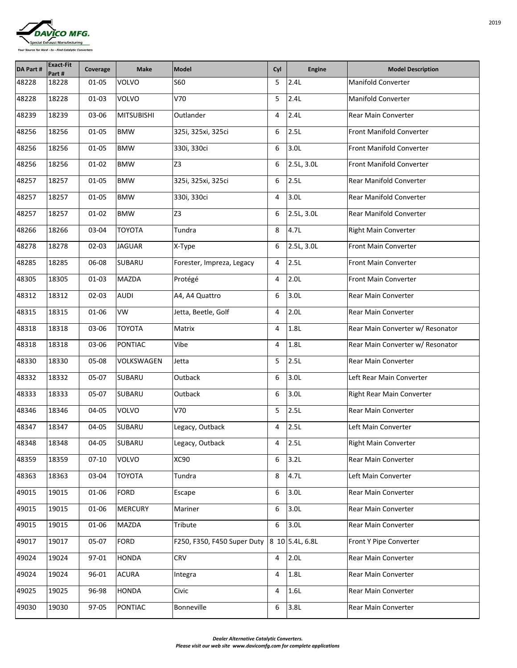| <b>DAVICO MFG.</b>                                    |  |
|-------------------------------------------------------|--|
|                                                       |  |
| Special Exhaust Manufacturing                         |  |
| Your Source for Hard - to - Find Catalytic Converters |  |

| <b>DA Part#</b> | <b>Exact-Fit</b><br>Part # | Coverage  | <b>Make</b>       | Model                       | Cyl             | <b>Engine</b>    | <b>Model Description</b>         |
|-----------------|----------------------------|-----------|-------------------|-----------------------------|-----------------|------------------|----------------------------------|
| 48228           | 18228                      | 01-05     | <b>VOLVO</b>      | <b>S60</b>                  | 5               | 2.4L             | <b>Manifold Converter</b>        |
| 48228           | 18228                      | $01 - 03$ | <b>VOLVO</b>      | V70                         | 5               | 2.4L             | <b>Manifold Converter</b>        |
| 48239           | 18239                      | 03-06     | <b>MITSUBISHI</b> | Outlander                   | 4               | 2.4L             | <b>Rear Main Converter</b>       |
| 48256           | 18256                      | $01 - 05$ | <b>BMW</b>        | 325i, 325xi, 325ci          | 6               | 2.5L             | <b>Front Manifold Converter</b>  |
| 48256           | 18256                      | $01 - 05$ | <b>BMW</b>        | 330i, 330ci                 | 6               | 3.0 <sub>L</sub> | <b>Front Manifold Converter</b>  |
| 48256           | 18256                      | $01 - 02$ | <b>BMW</b>        | Z <sub>3</sub>              | 6               | 2.5L, 3.0L       | <b>Front Manifold Converter</b>  |
| 48257           | 18257                      | $01 - 05$ | <b>BMW</b>        | 325i, 325xi, 325ci          | 6               | 2.5L             | <b>Rear Manifold Converter</b>   |
| 48257           | 18257                      | $01 - 05$ | <b>BMW</b>        | 330i, 330ci                 | 4               | 3.0 <sub>L</sub> | <b>Rear Manifold Converter</b>   |
| 48257           | 18257                      | $01 - 02$ | <b>BMW</b>        | Z <sub>3</sub>              | 6               | 2.5L, 3.0L       | <b>Rear Manifold Converter</b>   |
| 48266           | 18266                      | 03-04     | <b>TOYOTA</b>     | Tundra                      | 8               | 4.7 <sub>L</sub> | <b>Right Main Converter</b>      |
| 48278           | 18278                      | $02 - 03$ | <b>JAGUAR</b>     | X-Type                      | 6               | 2.5L, 3.0L       | <b>Front Main Converter</b>      |
| 48285           | 18285                      | 06-08     | <b>SUBARU</b>     | Forester, Impreza, Legacy   | 4               | 2.5L             | <b>Front Main Converter</b>      |
| 48305           | 18305                      | $01 - 03$ | <b>MAZDA</b>      | Protégé                     | 4               | 2.0L             | <b>Front Main Converter</b>      |
| 48312           | 18312                      | 02-03     | <b>AUDI</b>       | A4, A4 Quattro              | 6               | 3.0L             | <b>Rear Main Converter</b>       |
| 48315           | 18315                      | 01-06     | VW                | Jetta, Beetle, Golf         | 4               | 2.0L             | <b>Rear Main Converter</b>       |
| 48318           | 18318                      | 03-06     | <b>TOYOTA</b>     | <b>Matrix</b>               | 4               | 1.8L             | Rear Main Converter w/ Resonator |
| 48318           | 18318                      | 03-06     | <b>PONTIAC</b>    | Vibe                        | 4               | 1.8L             | Rear Main Converter w/ Resonator |
| 48330           | 18330                      | 05-08     | <b>VOLKSWAGEN</b> | Jetta                       | 5               | 2.5L             | <b>Rear Main Converter</b>       |
| 48332           | 18332                      | 05-07     | <b>SUBARU</b>     | Outback                     | 6               | 3.0 <sub>L</sub> | Left Rear Main Converter         |
| 48333           | 18333                      | 05-07     | <b>SUBARU</b>     | Outback                     | $6\phantom{1}6$ | 3.0 <sub>L</sub> | <b>Right Rear Main Converter</b> |
| 48346           | 18346                      | 04-05     | <b>VOLVO</b>      | V70                         | 5               | 2.5L             | <b>Rear Main Converter</b>       |
| 48347           | 18347                      | 04-05     | <b>SUBARU</b>     | Legacy, Outback             | $\overline{4}$  | 2.5L             | Left Main Converter              |
| 48348           | 18348                      | 04-05     | <b>SUBARU</b>     | Legacy, Outback             | 4               | 2.5L             | <b>Right Main Converter</b>      |
| 48359           | 18359                      | $07-10$   | <b>VOLVO</b>      | <b>XC90</b>                 | 6               | 3.2L             | <b>Rear Main Converter</b>       |
| 48363           | 18363                      | 03-04     | <b>TOYOTA</b>     | Tundra                      | 8               | 4.7 <sub>L</sub> | Left Main Converter              |
| 49015           | 19015                      | 01-06     | <b>FORD</b>       | Escape                      | 6               | 3.0 <sub>L</sub> | <b>Rear Main Converter</b>       |
| 49015           | 19015                      | 01-06     | <b>MERCURY</b>    | Mariner                     | 6               | 3.0 <sub>L</sub> | <b>Rear Main Converter</b>       |
| 49015           | 19015                      | 01-06     | <b>MAZDA</b>      | Tribute                     | 6               | 3.0 <sub>L</sub> | <b>Rear Main Converter</b>       |
| 49017           | 19017                      | 05-07     | <b>FORD</b>       | F250, F350, F450 Super Duty |                 | 8 10 5.4L, 6.8L  | <b>Front Y Pipe Converter</b>    |
| 49024           | 19024                      | 97-01     | <b>HONDA</b>      | <b>CRV</b>                  | 4               | 2.0L             | <b>Rear Main Converter</b>       |
| 49024           | 19024                      | 96-01     | <b>ACURA</b>      | Integra                     | $\overline{4}$  | 1.8L             | <b>Rear Main Converter</b>       |
| 49025           | 19025                      | 96-98     | <b>HONDA</b>      | Civic                       | 4               | 1.6L             | <b>Rear Main Converter</b>       |
| 49030           | 19030                      | 97-05     | <b>PONTIAC</b>    | Bonneville                  | 6               | 3.8L             | <b>Rear Main Converter</b>       |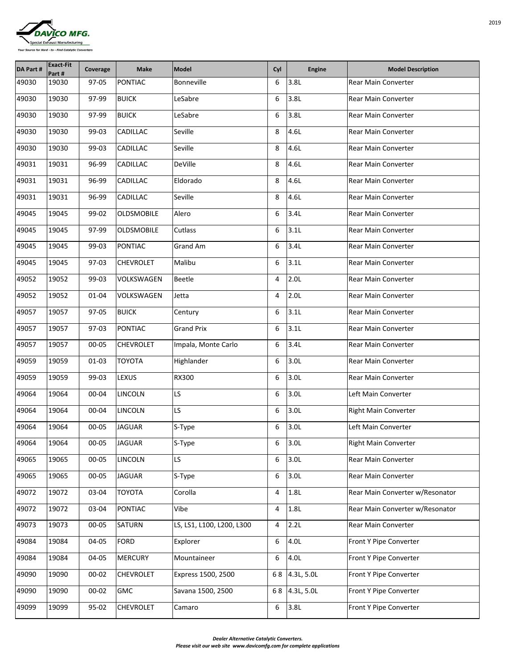

| <b>DA Part#</b> | <b>Exact-Fit</b><br>Part # | Coverage  | <b>Make</b>       | Model                     | Cyl            | <b>Engine</b>    | <b>Model Description</b>        |
|-----------------|----------------------------|-----------|-------------------|---------------------------|----------------|------------------|---------------------------------|
| 49030           | 19030                      | 97-05     | <b>PONTIAC</b>    | Bonneville                | 6              | 3.8L             | <b>Rear Main Converter</b>      |
| 49030           | 19030                      | 97-99     | <b>BUICK</b>      | LeSabre                   | 6              | 3.8L             | <b>Rear Main Converter</b>      |
| 49030           | 19030                      | 97-99     | <b>BUICK</b>      | LeSabre                   | 6              | 3.8L             | <b>Rear Main Converter</b>      |
| 49030           | 19030                      | 99-03     | <b>CADILLAC</b>   | Seville                   | 8              | 4.6L             | <b>Rear Main Converter</b>      |
| 49030           | 19030                      | 99-03     | <b>CADILLAC</b>   | Seville                   | 8              | 4.6L             | <b>Rear Main Converter</b>      |
| 49031           | 19031                      | 96-99     | <b>CADILLAC</b>   | <b>DeVille</b>            | 8              | 4.6L             | <b>Rear Main Converter</b>      |
| 49031           | 19031                      | 96-99     | <b>CADILLAC</b>   | Eldorado                  | 8              | 4.6L             | <b>Rear Main Converter</b>      |
| 49031           | 19031                      | 96-99     | <b>CADILLAC</b>   | Seville                   | 8              | 4.6L             | <b>Rear Main Converter</b>      |
| 49045           | 19045                      | 99-02     | <b>OLDSMOBILE</b> | Alero                     | 6              | 3.4L             | <b>Rear Main Converter</b>      |
| 49045           | 19045                      | 97-99     | <b>OLDSMOBILE</b> | Cutlass                   | 6              | 3.1L             | <b>Rear Main Converter</b>      |
| 49045           | 19045                      | 99-03     | <b>PONTIAC</b>    | <b>Grand Am</b>           | 6              | 3.4L             | <b>Rear Main Converter</b>      |
| 49045           | 19045                      | 97-03     | <b>CHEVROLET</b>  | Malibu                    | 6              | 3.1L             | <b>Rear Main Converter</b>      |
| 49052           | 19052                      | 99-03     | <b>VOLKSWAGEN</b> | <b>Beetle</b>             | 4              | 2.0 <sub>L</sub> | <b>Rear Main Converter</b>      |
| 49052           | 19052                      | $01 - 04$ | <b>VOLKSWAGEN</b> | Jetta                     | $\overline{4}$ | 2.0L             | <b>Rear Main Converter</b>      |
| 49057           | 19057                      | 97-05     | <b>BUICK</b>      | Century                   | 6              | 3.1L             | <b>Rear Main Converter</b>      |
| 49057           | 19057                      | 97-03     | <b>PONTIAC</b>    | <b>Grand Prix</b>         | 6              | 3.1L             | <b>Rear Main Converter</b>      |
| 49057           | 19057                      | 00-05     | <b>CHEVROLET</b>  | Impala, Monte Carlo       | 6              | 3.4L             | <b>Rear Main Converter</b>      |
| 49059           | 19059                      | $01 - 03$ | <b>TOYOTA</b>     | Highlander                | 6              | 3.0 <sub>L</sub> | <b>Rear Main Converter</b>      |
| 49059           | 19059                      | 99-03     | <b>LEXUS</b>      | <b>RX300</b>              | 6              | 3.0 <sub>L</sub> | <b>Rear Main Converter</b>      |
| 49064           | 19064                      | 00-04     | <b>LINCOLN</b>    | LS.                       | 6              | 3.0 <sub>L</sub> | Left Main Converter             |
| 49064           | 19064                      | 00-04     | <b>LINCOLN</b>    | LS                        | 6              | 3.0 <sub>L</sub> | <b>Right Main Converter</b>     |
| 49064           | 19064                      | 00-05     | <b>JAGUAR</b>     | $S-Type$                  | 6              | 3.0L             | Left Main Converter             |
| 49064           | 19064                      | 00-05     | <b>JAGUAR</b>     | S-Type                    | 6              | 3.0 <sub>L</sub> | <b>Right Main Converter</b>     |
| 49065           | 19065                      | 00-05     | <b>LINCOLN</b>    | LS.                       | 6              | 3.0 <sub>L</sub> | <b>Rear Main Converter</b>      |
| 49065           | 19065                      | 00-05     | <b>JAGUAR</b>     | $S-Type$                  | 6              | 3.0 <sub>L</sub> | <b>Rear Main Converter</b>      |
| 49072           | 19072                      | 03-04     | <b>TOYOTA</b>     | Corolla                   | 4              | 1.8L             | Rear Main Converter w/Resonator |
| 49072           | 19072                      | 03-04     | <b>PONTIAC</b>    | Vibe                      | 4              | 1.8L             | Rear Main Converter w/Resonator |
| 49073           | 19073                      | 00-05     | <b>SATURN</b>     | LS, LS1, L100, L200, L300 | 4              | 2.2L             | <b>Rear Main Converter</b>      |
| 49084           | 19084                      | 04-05     | <b>FORD</b>       | Explorer                  | 6              | 4.0L             | <b>Front Y Pipe Converter</b>   |
| 49084           | 19084                      | 04-05     | <b>MERCURY</b>    | Mountaineer               | 6              | 4.0L             | <b>Front Y Pipe Converter</b>   |
| 49090           | 19090                      | $00 - 02$ | <b>CHEVROLET</b>  | Express 1500, 2500        | 68             | 4.3L, 5.0L       | <b>Front Y Pipe Converter</b>   |
| 49090           | 19090                      | $00 - 02$ | <b>GMC</b>        | Savana 1500, 2500         | 68             | 4.3L, 5.0L       | <b>Front Y Pipe Converter</b>   |
| 49099           | 19099                      | 95-02     | <b>CHEVROLET</b>  | Camaro                    | 6              | 3.8L             | <b>Front Y Pipe Converter</b>   |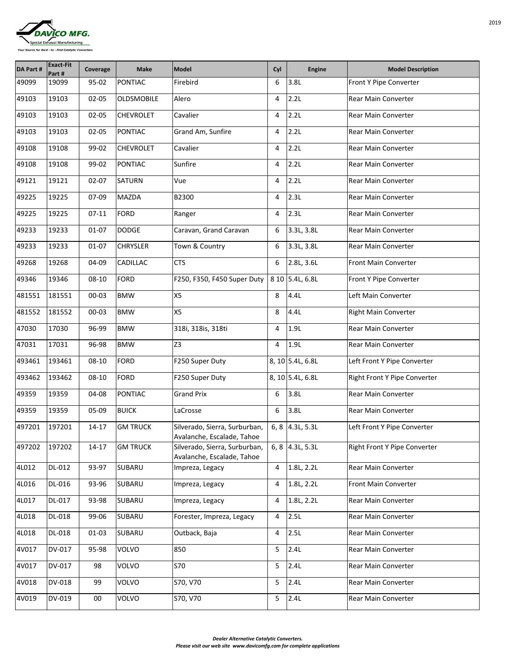

| <b>DA Part#</b> | <b>Exact-Fit</b><br>Part # | Coverage  | <b>Make</b>       | Model                                                       | Cyl  | <b>Engine</b>      | <b>Model Description</b>            |
|-----------------|----------------------------|-----------|-------------------|-------------------------------------------------------------|------|--------------------|-------------------------------------|
| 49099           | 19099                      | 95-02     | <b>PONTIAC</b>    | Firebird                                                    | 6    | 3.8L               | <b>Front Y Pipe Converter</b>       |
| 49103           | 19103                      | $02 - 05$ | <b>OLDSMOBILE</b> | Alero                                                       | 4    | 2.2L               | <b>Rear Main Converter</b>          |
| 49103           | 19103                      | 02-05     | <b>CHEVROLET</b>  | Cavalier                                                    | 4    | 2.2L               | <b>Rear Main Converter</b>          |
| 49103           | 19103                      | $02 - 05$ | <b>PONTIAC</b>    | Grand Am, Sunfire                                           | 4    | 2.2L               | <b>Rear Main Converter</b>          |
| 49108           | 19108                      | 99-02     | <b>CHEVROLET</b>  | Cavalier                                                    | 4    | 2.2L               | <b>Rear Main Converter</b>          |
| 49108           | 19108                      | 99-02     | <b>PONTIAC</b>    | Sunfire                                                     | 4    | 2.2L               | <b>Rear Main Converter</b>          |
| 49121           | 19121                      | $02 - 07$ | <b>SATURN</b>     | Vue                                                         | 4    | 2.2L               | <b>Rear Main Converter</b>          |
| 49225           | 19225                      | 07-09     | <b>MAZDA</b>      | <b>B2300</b>                                                | 4    | 2.3L               | <b>Rear Main Converter</b>          |
| 49225           | 19225                      | $07-11$   | <b>FORD</b>       | Ranger                                                      | 4    | 2.3L               | <b>Rear Main Converter</b>          |
| 49233           | 19233                      | $01 - 07$ | <b>DODGE</b>      | Caravan, Grand Caravan                                      | 6    | 3.3L, 3.8L         | <b>Rear Main Converter</b>          |
| 49233           | 19233                      | $01 - 07$ | <b>CHRYSLER</b>   | Town & Country                                              | 6    | 3.3L, 3.8L         | <b>Rear Main Converter</b>          |
| 49268           | 19268                      | 04-09     | <b>CADILLAC</b>   | <b>CTS</b>                                                  | 6    | 2.8L, 3.6L         | <b>Front Main Converter</b>         |
| 49346           | 19346                      | 08-10     | <b>FORD</b>       | F250, F350, F450 Super Duty                                 |      | 8 10 5.4L, 6.8L    | <b>Front Y Pipe Converter</b>       |
| 481551          | 181551                     | 00-03     | <b>BMW</b>        | <b>X5</b>                                                   | 8    | 4.4L               | Left Main Converter                 |
| 481552          | 181552                     | 00-03     | <b>BMW</b>        | <b>X5</b>                                                   | 8    | 4.4L               | <b>Right Main Converter</b>         |
| 47030           | 17030                      | 96-99     | <b>BMW</b>        | 318i, 318is, 318ti                                          | 4    | 1.9L               | <b>Rear Main Converter</b>          |
| 47031           | 17031                      | 96-98     | <b>BMW</b>        | Z <sub>3</sub>                                              | 4    | 1.9L               | <b>Rear Main Converter</b>          |
| 493461          | 193461                     | 08-10     | <b>FORD</b>       | F250 Super Duty                                             |      | 8, 10 5.4L, 6.8L   | Left Front Y Pipe Converter         |
| 493462          | 193462                     | 08-10     | FORD              | F250 Super Duty                                             |      | 8, 10 5.4L, 6.8L   | <b>Right Front Y Pipe Converter</b> |
| 49359           | 19359                      | 04-08     | <b>PONTIAC</b>    | <b>Grand Prix</b>                                           | 6    | 3.8L               | <b>Rear Main Converter</b>          |
| 49359           | 19359                      | 05-09     | <b>BUICK</b>      | LaCrosse                                                    | 6    | 3.8L               | <b>Rear Main Converter</b>          |
| 497201          | 197201                     | $14 - 17$ | <b>GM TRUCK</b>   | Silverado, Sierra, Surburban,<br>Avalanche, Escalade, Tahoe |      | 6, 8 $ 4.3L, 5.3L$ | Left Front Y Pipe Converter         |
| 497202          | 197202                     | $14 - 17$ | <b>GM TRUCK</b>   | Silverado, Sierra, Surburban,<br>Avalanche, Escalade, Tahoe | 6, 8 | 4.3L, 5.3L         | <b>Right Front Y Pipe Converter</b> |
| 4L012           | DL-012                     | 93-97     | SUBARU            | Impreza, Legacy                                             | 4    | 1.8L, 2.2L         | <b>Rear Main Converter</b>          |
| 4L016           | <b>DL-016</b>              | 93-96     | SUBARU            | Impreza, Legacy                                             | 4    | 1.8L, 2.2L         | <b>Front Main Converter</b>         |
| 4L017           | <b>DL-017</b>              | 93-98     | SUBARU            | Impreza, Legacy                                             | 4    | 1.8L, 2.2L         | <b>Rear Main Converter</b>          |
| 4L018           | <b>DL-018</b>              | 99-06     | SUBARU            | Forester, Impreza, Legacy                                   | 4    | 2.5L               | <b>Rear Main Converter</b>          |
| 4L018           | <b>DL-018</b>              | $01 - 03$ | SUBARU            | Outback, Baja                                               | 4    | 2.5L               | <b>Rear Main Converter</b>          |
| 4V017           | <b>DV-017</b>              | 95-98     | <b>VOLVO</b>      | 850                                                         | 5    | 2.4L               | <b>Rear Main Converter</b>          |
| 4V017           | <b>DV-017</b>              | 98        | <b>VOLVO</b>      | <b>S70</b>                                                  | 5    | 2.4L               | <b>Rear Main Converter</b>          |
| 4V018           | <b>DV-018</b>              | 99        | <b>VOLVO</b>      | S70, V70                                                    | 5    | 2.4L               | <b>Rear Main Converter</b>          |
| 4V019           | <b>DV-019</b>              | 00        | <b>VOLVO</b>      | S70, V70                                                    | 5    | 2.4L               | <b>Rear Main Converter</b>          |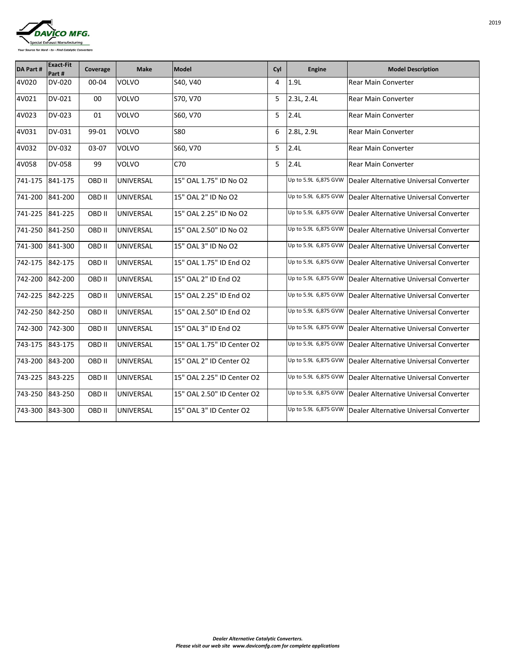

| <b>DA Part #</b> | <b>Exact-Fit</b><br>Part # | Coverage      | <b>Make</b>      | Model                      | Cyl | <b>Engine</b>        | <b>Model Description</b>               |
|------------------|----------------------------|---------------|------------------|----------------------------|-----|----------------------|----------------------------------------|
| 4V020            | <b>DV-020</b>              | 00-04         | <b>VOLVO</b>     | S40, V40                   | 4   | 1.9L                 | <b>Rear Main Converter</b>             |
| 4V021            | DV-021                     | 00            | <b>VOLVO</b>     | S70, V70                   | 5   | 2.3L, 2.4L           | <b>Rear Main Converter</b>             |
| 4V023            | <b>DV-023</b>              | 01            | <b>VOLVO</b>     | S60, V70                   | 5   | 2.4L                 | <b>Rear Main Converter</b>             |
| 4V031            | <b>DV-031</b>              | 99-01         | <b>VOLVO</b>     | <b>S80</b>                 | 6   | 2.8L, 2.9L           | <b>Rear Main Converter</b>             |
| 4V032            | <b>DV-032</b>              | 03-07         | <b>VOLVO</b>     | S60, V70                   | 5   | 2.4L                 | <b>Rear Main Converter</b>             |
| 4V058            | <b>DV-058</b>              | 99            | <b>VOLVO</b>     | C70                        | 5   | 2.4L                 | <b>Rear Main Converter</b>             |
| 741-175          | 841-175                    | <b>OBD II</b> | <b>UNIVERSAL</b> | 15" OAL 1.75" ID No O2     |     | Up to 5.9L 6,875 GVW | Dealer Alternative Universal Converter |
| 741-200          | 841-200                    | <b>OBD II</b> | <b>UNIVERSAL</b> | 15" OAL 2" ID No O2        |     | Up to 5.9L 6,875 GVW | Dealer Alternative Universal Converter |
| 741-225          | 841-225                    | <b>OBD II</b> | <b>UNIVERSAL</b> | 15" OAL 2.25" ID No O2     |     | Up to 5.9L 6,875 GVW | Dealer Alternative Universal Converter |
| 741-250          | 841-250                    | <b>OBD II</b> | <b>UNIVERSAL</b> | 15" OAL 2.50" ID No O2     |     | Up to 5.9L 6,875 GVW | Dealer Alternative Universal Converter |
| 741-300          | 841-300                    | <b>OBD II</b> | <b>UNIVERSAL</b> | 15" OAL 3" ID No O2        |     | Up to 5.9L 6,875 GVW | Dealer Alternative Universal Converter |
| 742-175          | 842-175                    | <b>OBD II</b> | <b>UNIVERSAL</b> | 15" OAL 1.75" ID End O2    |     | Up to 5.9L 6,875 GVW | Dealer Alternative Universal Converter |
| 742-200          | 842-200                    | <b>OBD II</b> | <b>UNIVERSAL</b> | 15" OAL 2" ID End O2       |     | Up to 5.9L 6,875 GVW | Dealer Alternative Universal Converter |
| 742-225          | 842-225                    | OBD II        | <b>UNIVERSAL</b> | 15" OAL 2.25" ID End O2    |     | Up to 5.9L 6,875 GVW | Dealer Alternative Universal Converter |
| 742-250 842-250  |                            | OBD II        | <b>UNIVERSAL</b> | 15" OAL 2.50" ID End O2    |     | Up to 5.9L 6,875 GVW | Dealer Alternative Universal Converter |
| 742-300          | 742-300                    | OBD II        | <b>UNIVERSAL</b> | 15" OAL 3" ID End O2       |     | Up to 5.9L 6,875 GVW | Dealer Alternative Universal Converter |
| 743-175          | 843-175                    | OBD II        | <b>UNIVERSAL</b> | 15" OAL 1.75" ID Center O2 |     | Up to 5.9L 6,875 GVW | Dealer Alternative Universal Converter |
| 743-200          | 843-200                    | OBD II        | <b>UNIVERSAL</b> | 15" OAL 2" ID Center O2    |     | Up to 5.9L 6,875 GVW | Dealer Alternative Universal Converter |
| 743-225          | 843-225                    | OBD II        | <b>UNIVERSAL</b> | 15" OAL 2.25" ID Center O2 |     | Up to 5.9L 6,875 GVW | Dealer Alternative Universal Converter |
| 743-250          | 843-250                    | OBD II        | <b>UNIVERSAL</b> | 15" OAL 2.50" ID Center O2 |     | Up to 5.9L 6,875 GVW | Dealer Alternative Universal Converter |
| 743-300          | 843-300                    | <b>OBD II</b> | <b>UNIVERSAL</b> | 15" OAL 3" ID Center O2    |     | Up to 5.9L 6,875 GVW | Dealer Alternative Universal Converter |

*Dealer Alternative Catalytic Converters. Please visit our web site www.davicomfg.com for complete applications*